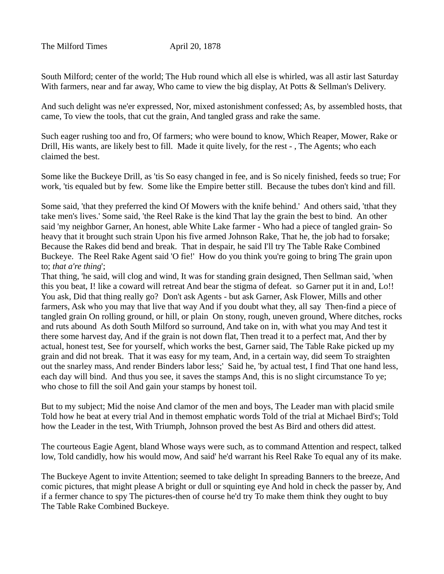The Milford Times **April 20, 1878** 

South Milford; center of the world; The Hub round which all else is whirled, was all astir last Saturday With farmers, near and far away, Who came to view the big display, At Potts & Sellman's Delivery.

And such delight was ne'er expressed, Nor, mixed astonishment confessed; As, by assembled hosts, that came, To view the tools, that cut the grain, And tangled grass and rake the same.

Such eager rushing too and fro, Of farmers; who were bound to know, Which Reaper, Mower, Rake or Drill, His wants, are likely best to fill. Made it quite lively, for the rest - , The Agents; who each claimed the best.

Some like the Buckeye Drill, as 'tis So easy changed in fee, and is So nicely finished, feeds so true; For work, 'tis equaled but by few. Some like the Empire better still. Because the tubes don't kind and fill.

Some said, 'that they preferred the kind Of Mowers with the knife behind.' And others said, 'tthat they take men's lives.' Some said, 'the Reel Rake is the kind That lay the grain the best to bind. An other said 'my neighbor Garner, An honest, able White Lake farmer - Who had a piece of tangled grain- So heavy that it brought such strain Upon his five armed Johnson Rake, That he, the job had to forsake; Because the Rakes did bend and break. That in despair, he said I'll try The Table Rake Combined Buckeye. The Reel Rake Agent said 'O fie!' How do you think you're going to bring The grain upon to; *that a're thing*';

That thing, 'he said, will clog and wind, It was for standing grain designed, Then Sellman said, 'when this you beat, I! like a coward will retreat And bear the stigma of defeat. so Garner put it in and, Lo!! You ask, Did that thing really go? Don't ask Agents - but ask Garner, Ask Flower, Mills and other farmers, Ask who you may that live that way And if you doubt what they, all say Then-find a piece of tangled grain On rolling ground, or hill, or plain On stony, rough, uneven ground, Where ditches, rocks and ruts abound As doth South Milford so surround, And take on in, with what you may And test it there some harvest day, And if the grain is not down flat, Then tread it to a perfect mat, And ther by actual, honest test, See for yourself, which works the best, Garner said, The Table Rake picked up my grain and did not break. That it was easy for my team, And, in a certain way, did seem To straighten out the snarley mass, And render Binders labor less;' Said he, 'by actual test, I find That one hand less, each day will bind. And thus you see, it saves the stamps And, this is no slight circumstance To ye; who chose to fill the soil And gain your stamps by honest toil.

But to my subject; Mid the noise And clamor of the men and boys, The Leader man with placid smile Told how he beat at every trial And in themost emphatic words Told of the trial at Michael Bird's; Told how the Leader in the test, With Triumph, Johnson proved the best As Bird and others did attest.

The courteous Eagie Agent, bland Whose ways were such, as to command Attention and respect, talked low, Told candidly, how his would mow, And said' he'd warrant his Reel Rake To equal any of its make.

The Buckeye Agent to invite Attention; seemed to take delight In spreading Banners to the breeze, And comic pictures, that might please A bright or dull or squinting eye And hold in check the passer by, And if a fermer chance to spy The pictures-then of course he'd try To make them think they ought to buy The Table Rake Combined Buckeye.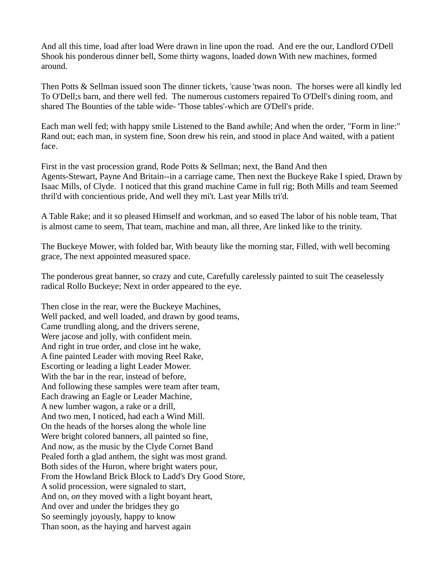And all this time, load after load Were drawn in line upon the road. And ere the our, Landlord O'Dell Shook his ponderous dinner bell, Some thirty wagons, loaded down With new machines, formed around.

Then Potts & Sellman issued soon The dinner tickets, 'cause 'twas noon. The horses were all kindly led To O'Dell;s barn, and there well fed. The numerous customers repaired To O'Dell's dining room, and shared The Bounties of the table wide- 'Those tables'-which are O'Dell's pride.

Each man well fed; with happy smile Listened to the Band awhile; And when the order, "Form in line:" Rand out; each man, in system fine, Soon drew his rein, and stood in place And waited, with a patient face.

First in the vast procession grand, Rode Potts & Sellman; next, the Band And then Agents-Stewart, Payne And Britain--in a carriage came, Then next the Buckeye Rake I spied, Drawn by Isaac Mills, of Clyde. I noticed that this grand machine Came in full rig; Both Mills and team Seemed thril'd with concientious pride, And well they mi't. Last year Mills tri'd.

A Table Rake; and it so pleased Himself and workman, and so eased The labor of his noble team, That is almost came to seem, That team, machine and man, all three, Are linked like to the trinity.

The Buckeye Mower, with folded bar, With beauty like the morning star, Filled, with well becoming grace, The next appointed measured space.

The ponderous great banner, so crazy and cute, Carefully carelessly painted to suit The ceaselessly radical Rollo Buckeye; Next in order appeared to the eye.

Then close in the rear, were the Buckeye Machines, Well packed, and well loaded, and drawn by good teams, Came trundling along, and the drivers serene, Were jacose and jolly, with confident mein. And right in true order, and close int he wake, A fine painted Leader with moving Reel Rake, Escorting or leading a light Leader Mower. With the bar in the rear, instead of before, And following these samples were team after team, Each drawing an Eagle or Leader Machine, A new lumber wagon, a rake or a drill, And two men, I noticed, had each a Wind Mill. On the heads of the horses along the whole line Were bright colored banners, all painted so fine, And now, as the music by the Clyde Cornet Band Pealed forth a glad anthem, the sight was most grand. Both sides of the Huron, where bright waters pour, From the Howland Brick Block to Ladd's Dry Good Store, A solid procession, were signaled to start, And on, *on* they moved with a light boyant heart, And over and under the bridges they go So seemingly joyously, happy to know Than soon, as the haying and harvest again